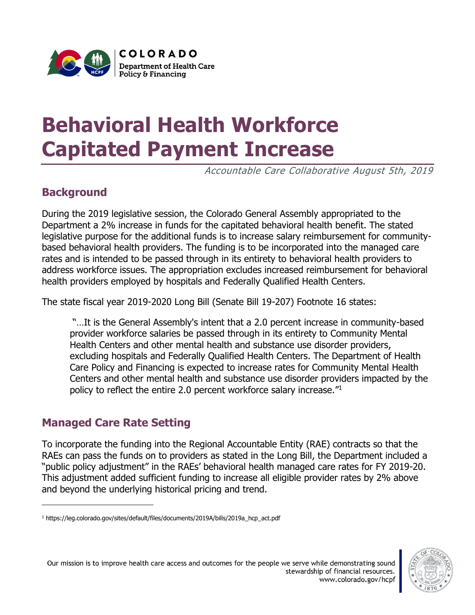

# **Behavioral Health Workforce Capitated Payment Increase**

Accountable Care Collaborative August 5th, 2019

## **Background**

During the 2019 legislative session, the Colorado General Assembly appropriated to the Department a 2% increase in funds for the capitated behavioral health benefit. The stated legislative purpose for the additional funds is to increase salary reimbursement for communitybased behavioral health providers. The funding is to be incorporated into the managed care rates and is intended to be passed through in its entirety to behavioral health providers to address workforce issues. The appropriation excludes increased reimbursement for behavioral health providers employed by hospitals and Federally Qualified Health Centers.

The state fiscal year 2019-2020 Long Bill (Senate Bill 19-207) Footnote 16 states:

"…It is the General Assembly's intent that a 2.0 percent increase in community-based provider workforce salaries be passed through in its entirety to Community Mental Health Centers and other mental health and substance use disorder providers, excluding hospitals and Federally Qualified Health Centers. The Department of Health Care Policy and Financing is expected to increase rates for Community Mental Health Centers and other mental health and substance use disorder providers impacted by the policy to reflect the entire 2.0 percent workforce salary increase."<sup>1</sup>

### **Managed Care Rate Setting**

 $\overline{a}$ 

To incorporate the funding into the Regional Accountable Entity (RAE) contracts so that the RAEs can pass the funds on to providers as stated in the Long Bill, the Department included a "public policy adjustment" in the RAEs' behavioral health managed care rates for FY 2019-20. This adjustment added sufficient funding to increase all eligible provider rates by 2% above and beyond the underlying historical pricing and trend.



<sup>1</sup> https://leg.colorado.gov/sites/default/files/documents/2019A/bills/2019a\_hcp\_act.pdf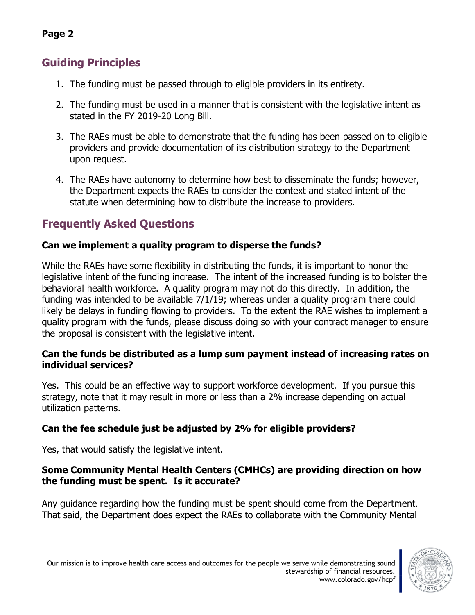## **Guiding Principles**

**Page 2**

- 1. The funding must be passed through to eligible providers in its entirety.
- 2. The funding must be used in a manner that is consistent with the legislative intent as stated in the FY 2019-20 Long Bill.
- 3. The RAEs must be able to demonstrate that the funding has been passed on to eligible providers and provide documentation of its distribution strategy to the Department upon request.
- 4. The RAEs have autonomy to determine how best to disseminate the funds; however, the Department expects the RAEs to consider the context and stated intent of the statute when determining how to distribute the increase to providers.

## **Frequently Asked Questions**

#### **Can we implement a quality program to disperse the funds?**

While the RAEs have some flexibility in distributing the funds, it is important to honor the legislative intent of the funding increase. The intent of the increased funding is to bolster the behavioral health workforce. A quality program may not do this directly. In addition, the funding was intended to be available 7/1/19; whereas under a quality program there could likely be delays in funding flowing to providers. To the extent the RAE wishes to implement a quality program with the funds, please discuss doing so with your contract manager to ensure the proposal is consistent with the legislative intent.

#### **Can the funds be distributed as a lump sum payment instead of increasing rates on individual services?**

Yes. This could be an effective way to support workforce development. If you pursue this strategy, note that it may result in more or less than a 2% increase depending on actual utilization patterns.

#### **Can the fee schedule just be adjusted by 2% for eligible providers?**

Yes, that would satisfy the legislative intent.

#### **Some Community Mental Health Centers (CMHCs) are providing direction on how the funding must be spent. Is it accurate?**

Any guidance regarding how the funding must be spent should come from the Department. That said, the Department does expect the RAEs to collaborate with the Community Mental